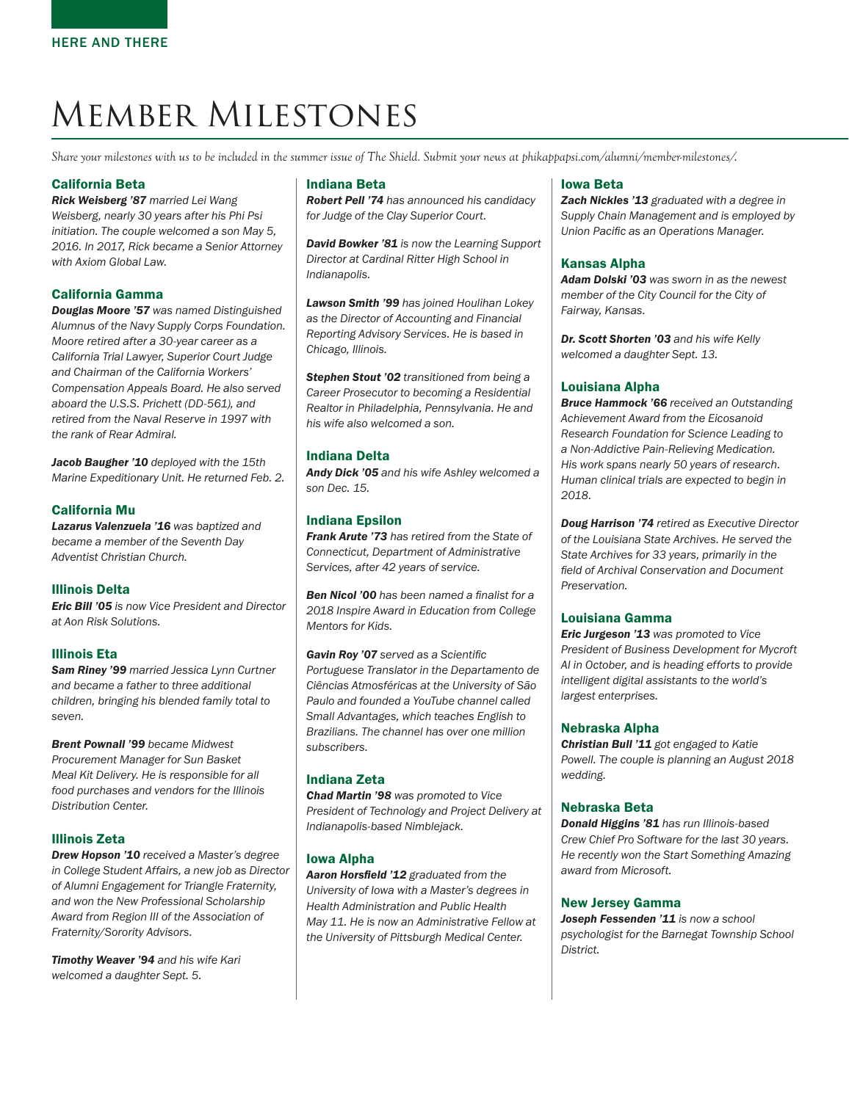# Member Milestones

*Share your milestones with us to be included in the summer issue of The Shield. Submit your news at phikappapsi.com/alumni/member-milestones/*.

# California Beta

*Rick Weisberg '87 married Lei Wang Weisberg, nearly 30 years after his Phi Psi initiation. The couple welcomed a son May 5, 2016. In 2017, Rick became a Senior Attorney with Axiom Global Law.*

## California Gamma

*Douglas Moore '57 was named Distinguished Alumnus of the Navy Supply Corps Foundation. Moore retired after a 30-year career as a California Trial Lawyer, Superior Court Judge and Chairman of the California Workers' Compensation Appeals Board. He also served aboard the U.S.S. Prichett (DD-561), and retired from the Naval Reserve in 1997 with the rank of Rear Admiral.*

*Jacob Baugher '10 deployed with the 15th Marine Expeditionary Unit. He returned Feb. 2.*

## California Mu

*Lazarus Valenzuela '16 was baptized and became a member of the Seventh Day Adventist Christian Church.*

# Illinois Delta

*Eric Bill '05 is now Vice President and Director at Aon Risk Solutions.*

# Illinois Eta

*Sam Riney '99 married Jessica Lynn Curtner and became a father to three additional children, bringing his blended family total to seven.* 

*Brent Pownall '99 became Midwest Procurement Manager for Sun Basket Meal Kit Delivery. He is responsible for all food purchases and vendors for the Illinois Distribution Center.*

## Illinois Zeta

*Drew Hopson '10 received a Master's degree in College Student Affairs, a new job as Director of Alumni Engagement for Triangle Fraternity, and won the New Professional Scholarship Award from Region III of the Association of Fraternity/Sorority Advisors.*

*Timothy Weaver '94 and his wife Kari welcomed a daughter Sept. 5.* 

#### Indiana Beta

*Robert Pell '74 has announced his candidacy for Judge of the Clay Superior Court.*

*David Bowker '81 is now the Learning Support Director at Cardinal Ritter High School in Indianapolis.* 

*Lawson Smith '99 has joined Houlihan Lokey as the Director of Accounting and Financial Reporting Advisory Services. He is based in Chicago, Illinois.*

*Stephen Stout '02 transitioned from being a Career Prosecutor to becoming a Residential Realtor in Philadelphia, Pennsylvania. He and his wife also welcomed a son.* 

## Indiana Delta

*Andy Dick '05 and his wife Ashley welcomed a son Dec. 15.*

## Indiana Epsilon

*Frank Arute '73 has retired from the State of Connecticut, Department of Administrative Services, after 42 years of service.*

*Ben Nicol '00 has been named a finalist for a 2018 Inspire Award in Education from College Mentors for Kids.* 

*Gavin Roy '07 served as a Scientific Portuguese Translator in the Departamento de Ciências Atmosféricas at the University of São Paulo and founded a YouTube channel called Small Advantages, which teaches English to Brazilians. The channel has over one million subscribers.*

# Indiana Zeta

*Chad Martin '98 was promoted to Vice President of Technology and Project Delivery at Indianapolis-based Nimblejack.*

## Iowa Alpha

*Aaron Horsfield '12 graduated from the University of Iowa with a Master's degrees in Health Administration and Public Health May 11. He is now an Administrative Fellow at the University of Pittsburgh Medical Center.* 

## Iowa Beta

*Zach Nickles '13 graduated with a degree in Supply Chain Management and is employed by Union Pacific as an Operations Manager.*

## Kansas Alpha

*Adam Dolski '03 was sworn in as the newest member of the City Council for the City of Fairway, Kansas.*

*Dr. Scott Shorten '03 and his wife Kelly welcomed a daughter Sept. 13.*

## Louisiana Alpha

*Bruce Hammock '66 received an Outstanding Achievement Award from the Eicosanoid Research Foundation for Science Leading to a Non-Addictive Pain-Relieving Medication. His work spans nearly 50 years of research. Human clinical trials are expected to begin in 2018.*

*Doug Harrison '74 retired as Executive Director of the Louisiana State Archives. He served the State Archives for 33 years, primarily in the field of Archival Conservation and Document Preservation.*

#### Louisiana Gamma

*Eric Jurgeson '13 was promoted to Vice President of Business Development for Mycroft AI in October, and is heading efforts to provide intelligent digital assistants to the world's largest enterprises.*

## Nebraska Alpha

*Christian Bull '11 got engaged to Katie Powell. The couple is planning an August 2018 wedding.* 

## Nebraska Beta

*Donald Higgins '81 has run Illinois-based Crew Chief Pro Software for the last 30 years. He recently won the Start Something Amazing award from Microsoft.* 

## New Jersey Gamma

*Joseph Fessenden '11 is now a school psychologist for the Barnegat Township School District.*